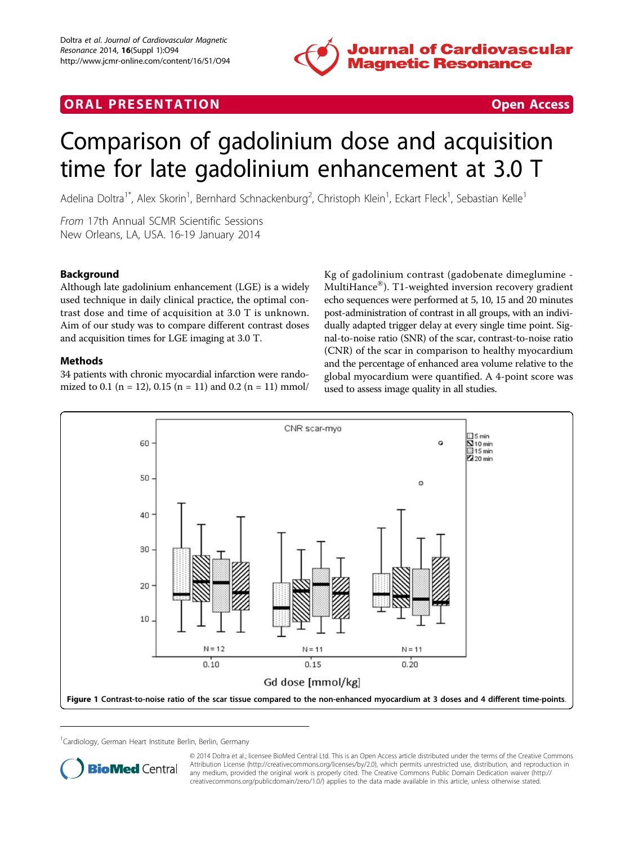

# <span id="page-0-0"></span>**ORAL PRESENTATION CONSUMING ACCESS**



# Comparison of gadolinium dose and acquisition time for late gadolinium enhancement at 3.0 T

Adelina Doltra<sup>1\*</sup>, Alex Skorin<sup>1</sup>, Bernhard Schnackenburg<sup>2</sup>, Christoph Klein<sup>1</sup>, Eckart Fleck<sup>1</sup>, Sebastian Kelle<sup>1</sup>

From 17th Annual SCMR Scientific Sessions New Orleans, LA, USA. 16-19 January 2014

# **Background**

Although late gadolinium enhancement (LGE) is a widely used technique in daily clinical practice, the optimal contrast dose and time of acquisition at 3.0 T is unknown. Aim of our study was to compare different contrast doses and acquisition times for LGE imaging at 3.0 T.

## Methods

34 patients with chronic myocardial infarction were randomized to 0.1 (n = 12), 0.15 (n = 11) and 0.2 (n = 11) mmol/ Kg of gadolinium contrast (gadobenate dimeglumine - MultiHance®). T1-weighted inversion recovery gradient echo sequences were performed at 5, 10, 15 and 20 minutes post-administration of contrast in all groups, with an individually adapted trigger delay at every single time point. Signal-to-noise ratio (SNR) of the scar, contrast-to-noise ratio (CNR) of the scar in comparison to healthy myocardium and the percentage of enhanced area volume relative to the global myocardium were quantified. A 4-point score was used to assess image quality in all studies.



<sup>1</sup>Cardiology, German Heart Institute Berlin, Berlin, Germany



© 2014 Doltra et al.; licensee BioMed Central Ltd. This is an Open Access article distributed under the terms of the Creative Commons Attribution License [\(http://creativecommons.org/licenses/by/2.0](http://creativecommons.org/licenses/by/2.0)), which permits unrestricted use, distribution, and reproduction in any medium, provided the original work is properly cited. The Creative Commons Public Domain Dedication waiver [\(http://](http://creativecommons.org/publicdomain/zero/1.0/) [creativecommons.org/publicdomain/zero/1.0/](http://creativecommons.org/publicdomain/zero/1.0/)) applies to the data made available in this article, unless otherwise stated.